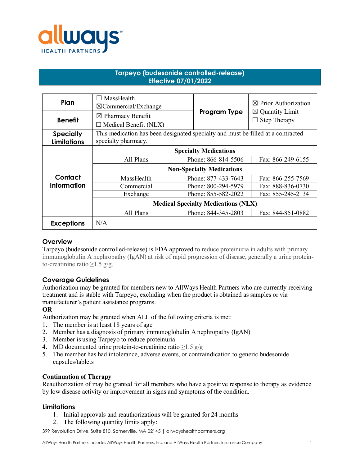

# **Tarpeyo (budesonide controlled-release) Effective 07/01/2022**

| Plan               | MassHealth<br>$\boxtimes$ Commercial/Exchange                                    |                     | $\boxtimes$ Prior Authorization                   |
|--------------------|----------------------------------------------------------------------------------|---------------------|---------------------------------------------------|
| <b>Benefit</b>     | $\boxtimes$ Pharmacy Benefit                                                     | Program Type        | $\boxtimes$ Quantity Limit<br><b>Step Therapy</b> |
|                    | $\Box$ Medical Benefit (NLX)                                                     |                     |                                                   |
| <b>Specialty</b>   | This medication has been designated specialty and must be filled at a contracted |                     |                                                   |
| <b>Limitations</b> | specialty pharmacy.                                                              |                     |                                                   |
|                    | <b>Specialty Medications</b>                                                     |                     |                                                   |
|                    | All Plans                                                                        | Phone: 866-814-5506 | Fax: 866-249-6155                                 |
|                    | <b>Non-Specialty Medications</b>                                                 |                     |                                                   |
| Contact            | MassHealth                                                                       | Phone: 877-433-7643 | Fax: 866-255-7569                                 |
| <b>Information</b> | Commercial                                                                       | Phone: 800-294-5979 | Fax: 888-836-0730                                 |
|                    | Exchange                                                                         | Phone: 855-582-2022 | Fax: 855-245-2134                                 |
|                    | <b>Medical Specialty Medications (NLX)</b>                                       |                     |                                                   |
|                    | All Plans                                                                        | Phone: 844-345-2803 | Fax: 844-851-0882                                 |
| <b>Exceptions</b>  | N/A                                                                              |                     |                                                   |

## **Overview**

Tarpeyo (budesonide controlled-release) is FDA approved to reduce proteinuria in adults with primary immunoglobulin A nephropathy (IgAN) at risk of rapid progression of disease, generally a urine proteinto-creatinine ratio  $\geq$ 1.5 g/g.

## **Coverage Guidelines**

Authorization may be granted for members new to AllWays Health Partners who are currently receiving treatment and is stable with Tarpeyo, excluding when the product is obtained as samples or via manufacturer's patient assistance programs.

## **OR**

Authorization may be granted when ALL of the following criteria is met:

- 1. The member is at least 18 years of age
- 2. Member has a diagnosis of primary immunoglobulin A nephropathy (IgAN)
- 3. Member is using Tarpeyo to reduce proteinuria
- 4. MD documented urine protein-to-creatinine ratio  $\geq 1.5$  g/g
- 5. The member has had intolerance, adverse events, or contraindication to generic budesonide capsules/tablets

## **Continuation of Therapy**

Reauthorization of may be granted for all members who have a positive response to therapy as evidence by low disease activity or improvement in signs and symptoms of the condition.

#### **Limitations**

- 1. Initial approvals and reauthorizations will be granted for 24 months
- 2. The following quantity limits apply:

399 Revolution Drive, Suite 810, Somerville, MA 02145 | allwayshealthpartners.org